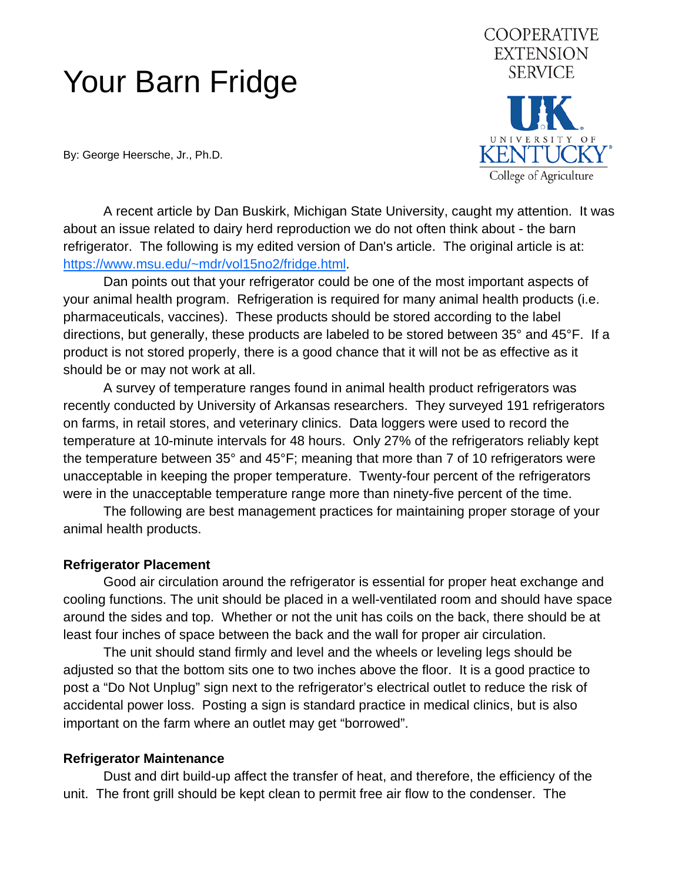# Your Barn Fridge

By: George Heersche, Jr., Ph.D.

**COOPERATIVE EXTENSION SERVICE KENTUCKY** College of Agriculture

 A recent article by Dan Buskirk, Michigan State University, caught my attention. It was about an issue related to dairy herd reproduction we do not often think about - the barn refrigerator. The following is my edited version of Dan's article. The original article is at: [https://www.msu.edu/~mdr/vol15no2/fridge.html.](https://www.msu.edu/~mdr/vol15no2/fridge.html)

 Dan points out that your refrigerator could be one of the most important aspects of your animal health program. Refrigeration is required for many animal health products (i.e. pharmaceuticals, vaccines). These products should be stored according to the label directions, but generally, these products are labeled to be stored between 35° and 45°F. If a product is not stored properly, there is a good chance that it will not be as effective as it should be or may not work at all.

 A survey of temperature ranges found in animal health product refrigerators was recently conducted by University of Arkansas researchers. They surveyed 191 refrigerators on farms, in retail stores, and veterinary clinics. Data loggers were used to record the temperature at 10-minute intervals for 48 hours. Only 27% of the refrigerators reliably kept the temperature between 35° and 45°F; meaning that more than 7 of 10 refrigerators were unacceptable in keeping the proper temperature. Twenty-four percent of the refrigerators were in the unacceptable temperature range more than ninety-five percent of the time.

 The following are best management practices for maintaining proper storage of your animal health products.

## **Refrigerator Placement**

 Good air circulation around the refrigerator is essential for proper heat exchange and cooling functions. The unit should be placed in a well-ventilated room and should have space around the sides and top. Whether or not the unit has coils on the back, there should be at least four inches of space between the back and the wall for proper air circulation.

 The unit should stand firmly and level and the wheels or leveling legs should be adjusted so that the bottom sits one to two inches above the floor. It is a good practice to post a "Do Not Unplug" sign next to the refrigerator's electrical outlet to reduce the risk of accidental power loss. Posting a sign is standard practice in medical clinics, but is also important on the farm where an outlet may get "borrowed".

## **Refrigerator Maintenance**

 Dust and dirt build-up affect the transfer of heat, and therefore, the efficiency of the unit. The front grill should be kept clean to permit free air flow to the condenser. The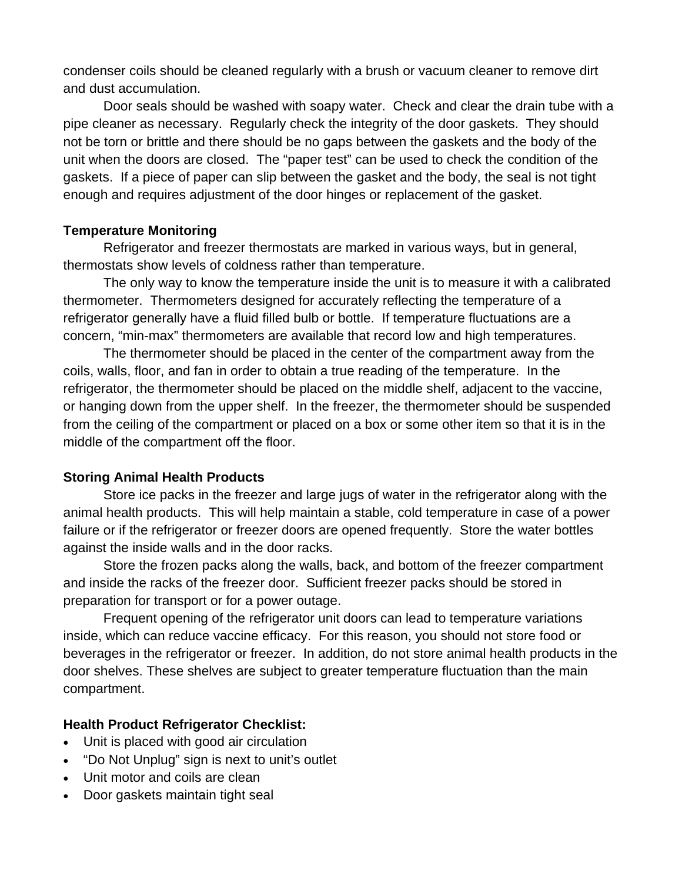condenser coils should be cleaned regularly with a brush or vacuum cleaner to remove dirt and dust accumulation.

 Door seals should be washed with soapy water. Check and clear the drain tube with a pipe cleaner as necessary. Regularly check the integrity of the door gaskets. They should not be torn or brittle and there should be no gaps between the gaskets and the body of the unit when the doors are closed. The "paper test" can be used to check the condition of the gaskets. If a piece of paper can slip between the gasket and the body, the seal is not tight enough and requires adjustment of the door hinges or replacement of the gasket.

## **Temperature Monitoring**

 Refrigerator and freezer thermostats are marked in various ways, but in general, thermostats show levels of coldness rather than temperature.

 The only way to know the temperature inside the unit is to measure it with a calibrated thermometer. Thermometers designed for accurately reflecting the temperature of a refrigerator generally have a fluid filled bulb or bottle. If temperature fluctuations are a concern, "min-max" thermometers are available that record low and high temperatures.

 The thermometer should be placed in the center of the compartment away from the coils, walls, floor, and fan in order to obtain a true reading of the temperature. In the refrigerator, the thermometer should be placed on the middle shelf, adjacent to the vaccine, or hanging down from the upper shelf. In the freezer, the thermometer should be suspended from the ceiling of the compartment or placed on a box or some other item so that it is in the middle of the compartment off the floor.

## **Storing Animal Health Products**

 Store ice packs in the freezer and large jugs of water in the refrigerator along with the animal health products. This will help maintain a stable, cold temperature in case of a power failure or if the refrigerator or freezer doors are opened frequently. Store the water bottles against the inside walls and in the door racks.

 Store the frozen packs along the walls, back, and bottom of the freezer compartment and inside the racks of the freezer door. Sufficient freezer packs should be stored in preparation for transport or for a power outage.

 Frequent opening of the refrigerator unit doors can lead to temperature variations inside, which can reduce vaccine efficacy. For this reason, you should not store food or beverages in the refrigerator or freezer. In addition, do not store animal health products in the door shelves. These shelves are subject to greater temperature fluctuation than the main compartment.

## **Health Product Refrigerator Checklist:**

- Unit is placed with good air circulation
- "Do Not Unplug" sign is next to unit's outlet
- Unit motor and coils are clean
- Door gaskets maintain tight seal